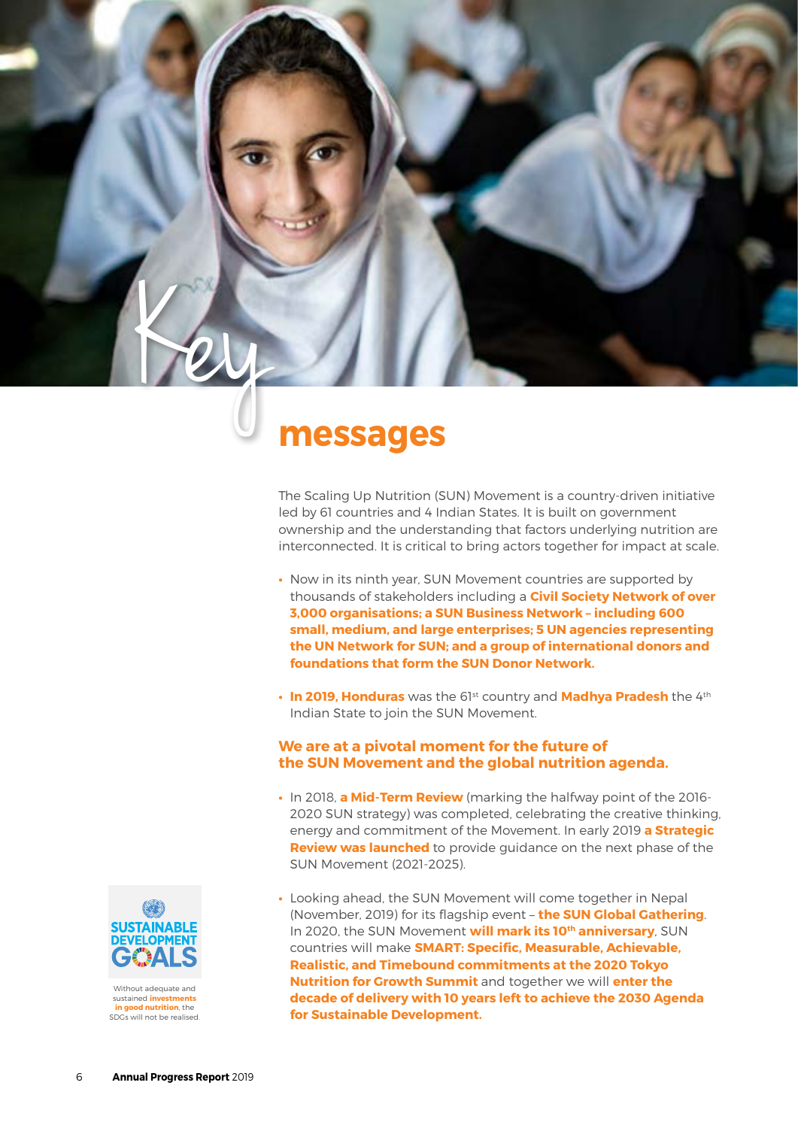# Key **messages**

The Scaling Up Nutrition (SUN) Movement is a country-driven initiative led by 61 countries and 4 Indian States. It is built on government ownership and the understanding that factors underlying nutrition are interconnected. It is critical to bring actors together for impact at scale.

- **•** Now in its ninth year, SUN Movement countries are supported by thousands of stakeholders including a **Civil Society Network of over 3,000 organisations; a SUN Business Network – including 600 small, medium, and large enterprises; 5 UN agencies representing the UN Network for SUN; and a group of international donors and foundations that form the SUN Donor Network.**
- **•** In 2019, Honduras was the 61<sup>st</sup> country and Madhya Pradesh the 4<sup>th</sup> Indian State to join the SUN Movement.

# **We are at a pivotal moment for the future of the SUN Movement and the global nutrition agenda.**

- **•** In 2018, **a Mid-Term Review** (marking the halfway point of the 2016- 2020 SUN strategy) was completed, celebrating the creative thinking, energy and commitment of the Movement. In early 2019 **a Strategic Review was launched** to provide guidance on the next phase of the SUN Movement (2021-2025).
- **•** Looking ahead, the SUN Movement will come together in Nepal (November, 2019) for its flagship event – **the SUN Global Gathering**. In 2020, the SUN Movement **will mark its 10th anniversary**, SUN countries will make **SMART: Specific, Measurable, Achievable, Realistic, and Timebound commitments at the 2020 Tokyo Nutrition for Growth Summit** and together we will **enter the decade of delivery with 10 years left to achieve the 2030 Agenda for Sustainable Development.**



Without adequate and sustained **investments in good nutrition**, the SDGs will not be realised.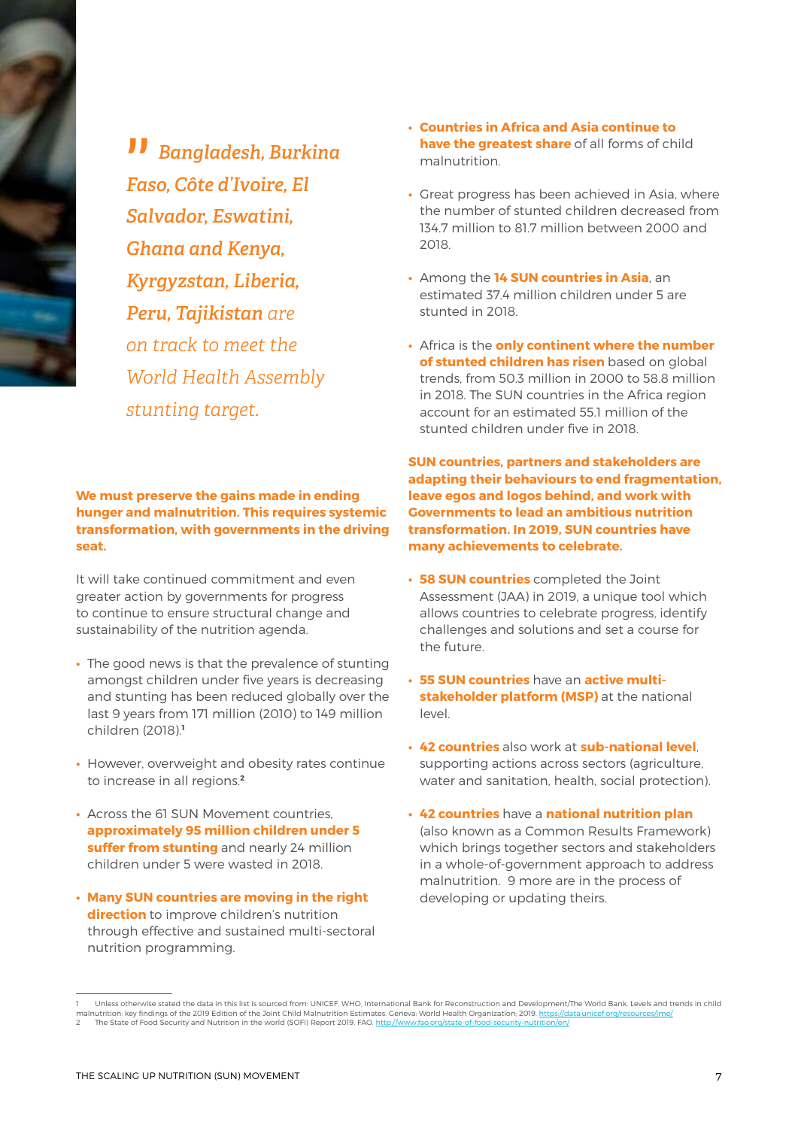

" *Bangladesh, Burkina Faso, Côte d'Ivoire, El Salvador, Eswatini, Ghana and Kenya, Kyrgyzstan, Liberia, Peru, Tajikistan are on track to meet the World Health Assembly stunting target.*

**We must preserve the gains made in ending hunger and malnutrition. This requires systemic transformation, with governments in the driving seat.**

It will take continued commitment and even greater action by governments for progress to continue to ensure structural change and sustainability of the nutrition agenda.

- **•** The good news is that the prevalence of stunting amongst children under five years is decreasing and stunting has been reduced globally over the last 9 years from 171 million (2010) to 149 million children (2018).**<sup>1</sup>**
- **•** However, overweight and obesity rates continue to increase in all regions.**<sup>2</sup>**
- **•** Across the 61 SUN Movement countries, **approximately 95 million children under 5 suffer from stunting** and nearly 24 million children under 5 were wasted in 2018.
- **• Many SUN countries are moving in the right direction** to improve children's nutrition through effective and sustained multi-sectoral nutrition programming.
- **• Countries in Africa and Asia continue to have the greatest share** of all forms of child malnutrition.
- **•** Great progress has been achieved in Asia, where the number of stunted children decreased from 134.7 million to 81.7 million between 2000 and 2018.
- **•** Among the **14 SUN countries in Asia**, an estimated 37.4 million children under 5 are stunted in 2018.
- **•** Africa is the **only continent where the number of stunted children has risen** based on global trends, from 50.3 million in 2000 to 58.8 million in 2018. The SUN countries in the Africa region account for an estimated 55.1 million of the stunted children under five in 2018.

**SUN countries, partners and stakeholders are adapting their behaviours to end fragmentation, leave egos and logos behind, and work with Governments to lead an ambitious nutrition transformation. In 2019, SUN countries have many achievements to celebrate.** 

- **• 58 SUN countries** completed the Joint Assessment (JAA) in 2019, a unique tool which allows countries to celebrate progress, identify challenges and solutions and set a course for the future.
- **• 55 SUN countries** have an **active multistakeholder platform (MSP)** at the national level.
- **• 42 countries** also work at **sub-national level**, supporting actions across sectors (agriculture, water and sanitation, health, social protection).
- **• 42 countries** have a **national nutrition plan**  (also known as a Common Results Framework) which brings together sectors and stakeholders in a whole-of-government approach to address malnutrition. 9 more are in the process of developing or updating theirs.

<sup>1</sup> Unless otherwise stated the data in this list is sourced from: UNICEF, WHO, International Bank for Reconstruction and Development/The World Bank. Levels and trends in child malnutrition: key findings of the 2019 Edition of the Joint Child Malnutrition Estimates. Geneva: World Health Organization; 2019. <u>https://data.unicef.org/resources/jme</u>,<br>2 The State of Food Security and Nutrition i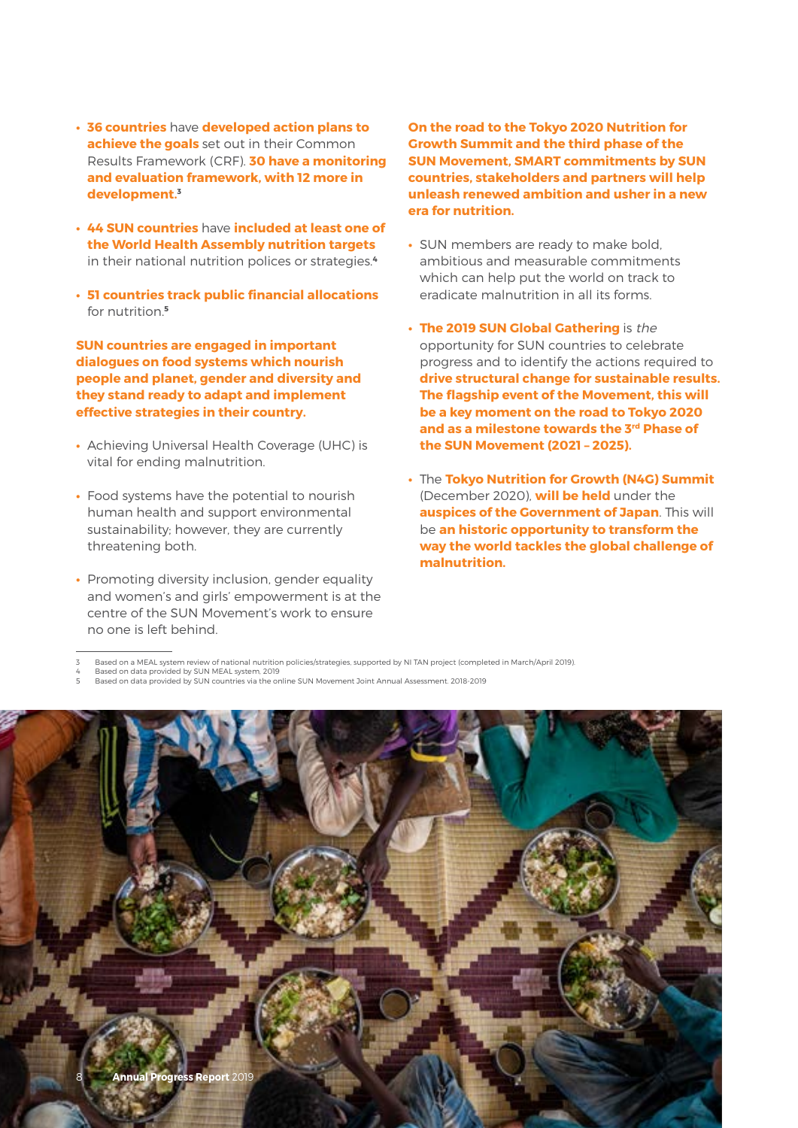- **• 36 countries** have **developed action plans to achieve the goals** set out in their Common Results Framework (CRF). **30 have a monitoring and evaluation framework, with 12 more in development.3**
- **• 44 SUN countries** have **included at least one of the World Health Assembly nutrition targets**  in their national nutrition polices or strategies.**<sup>4</sup>**
- **• 51 countries track public financial allocations**  for nutrition.**<sup>5</sup>**

**SUN countries are engaged in important dialogues on food systems which nourish people and planet, gender and diversity and they stand ready to adapt and implement effective strategies in their country.** 

- **•** Achieving Universal Health Coverage (UHC) is vital for ending malnutrition.
- **•** Food systems have the potential to nourish human health and support environmental sustainability; however, they are currently threatening both.
- **•** Promoting diversity inclusion, gender equality and women's and girls' empowerment is at the centre of the SUN Movement's work to ensure no one is left behind.

**On the road to the Tokyo 2020 Nutrition for Growth Summit and the third phase of the SUN Movement, SMART commitments by SUN countries, stakeholders and partners will help unleash renewed ambition and usher in a new era for nutrition.** 

- **•** SUN members are ready to make bold, ambitious and measurable commitments which can help put the world on track to eradicate malnutrition in all its forms.
- **• The 2019 SUN Global Gathering** is the opportunity for SUN countries to celebrate progress and to identify the actions required to **drive structural change for sustainable results. The flagship event of the Movement, this will be a key moment on the road to Tokyo 2020 and as a milestone towards the 3rd Phase of the SUN Movement (2021 – 2025).**
- **•** The **Tokyo Nutrition for Growth (N4G) Summit**  (December 2020), **will be held** under the **auspices of the Government of Japan**. This will be **an historic opportunity to transform the way the world tackles the global challenge of malnutrition.**

4 Based on data provided by SUN MEAL system, 2019 5 Based on data provided by SUN countries via the online SUN Movement Joint Annual Assessment. 2018-2019



<sup>3</sup> Based on a MEAL system review of national nutrition policies/strategies, supported by NI TAN project (completed in March/April 2019).